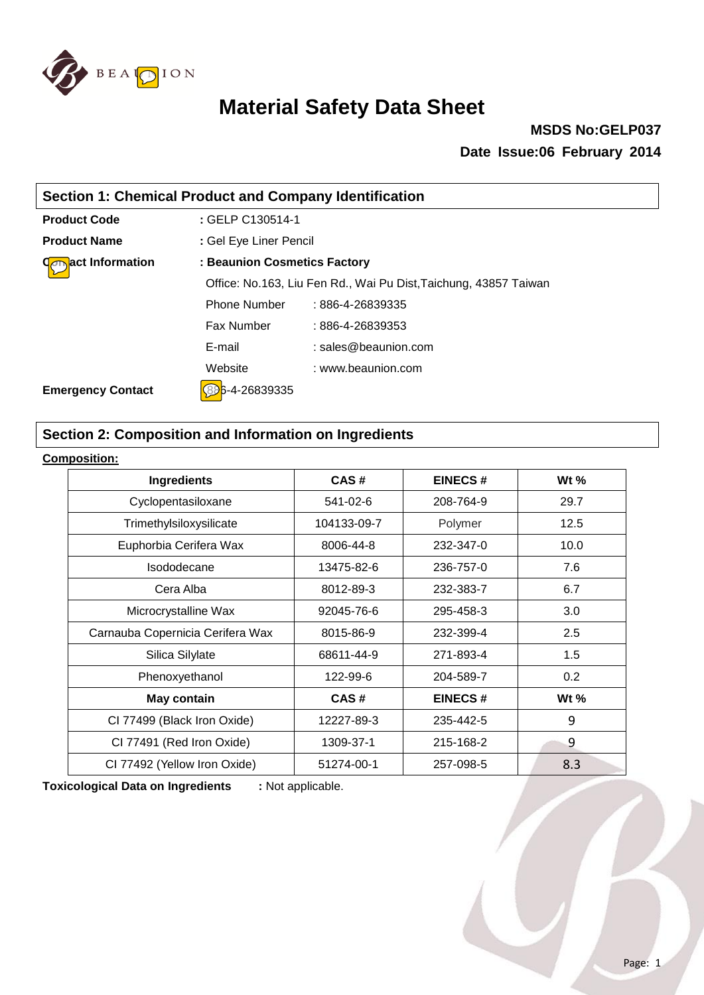

### **MSDS No:GELP037 Date Issue:06 February 2014**

| <b>Section 1: Chemical Product and Company Identification</b> |                              |                                                                  |  |
|---------------------------------------------------------------|------------------------------|------------------------------------------------------------------|--|
| <b>Product Code</b>                                           | : GELP C130514-1             |                                                                  |  |
| <b>Product Name</b>                                           | : Gel Eye Liner Pencil       |                                                                  |  |
| act Information                                               | : Beaunion Cosmetics Factory |                                                                  |  |
|                                                               |                              | Office: No.163, Liu Fen Rd., Wai Pu Dist, Taichung, 43857 Taiwan |  |
|                                                               | <b>Phone Number</b>          | : 886-4-26839335                                                 |  |
|                                                               | <b>Fax Number</b>            | $:886 - 4 - 26839353$                                            |  |
|                                                               | E-mail                       | $:$ sales @ beaunion.com                                         |  |
|                                                               | Website                      | : www.beaunion.com                                               |  |
| <b>Emergency Contact</b>                                      | i-4-26839335                 |                                                                  |  |

### **Section 2: Composition and Information on Ingredients**

#### **Composition:**

| <b>Ingredients</b>               | CAS#        | <b>EINECS#</b> | Wt $%$ |
|----------------------------------|-------------|----------------|--------|
| Cyclopentasiloxane               | 541-02-6    | 208-764-9      | 29.7   |
| Trimethylsiloxysilicate          | 104133-09-7 | Polymer        | 12.5   |
| Euphorbia Cerifera Wax           | 8006-44-8   | 232-347-0      | 10.0   |
| Isododecane                      | 13475-82-6  | 236-757-0      | 7.6    |
| Cera Alba                        | 8012-89-3   | 232-383-7      | 6.7    |
| Microcrystalline Wax             | 92045-76-6  | 295-458-3      | 3.0    |
| Carnauba Copernicia Cerifera Wax | 8015-86-9   | 232-399-4      | 2.5    |
| Silica Silylate                  | 68611-44-9  | 271-893-4      | 1.5    |
| Phenoxyethanol                   | 122-99-6    | 204-589-7      | 0.2    |
| <b>May contain</b>               | CAS#        | <b>EINECS#</b> | Wt $%$ |
| CI 77499 (Black Iron Oxide)      | 12227-89-3  | 235-442-5      | 9      |
| CI 77491 (Red Iron Oxide)        | 1309-37-1   | 215-168-2      | 9      |
| CI 77492 (Yellow Iron Oxide)     | 51274-00-1  | 257-098-5      | 8.3    |

**Toxicological Data on Ingredients :** Not applicable.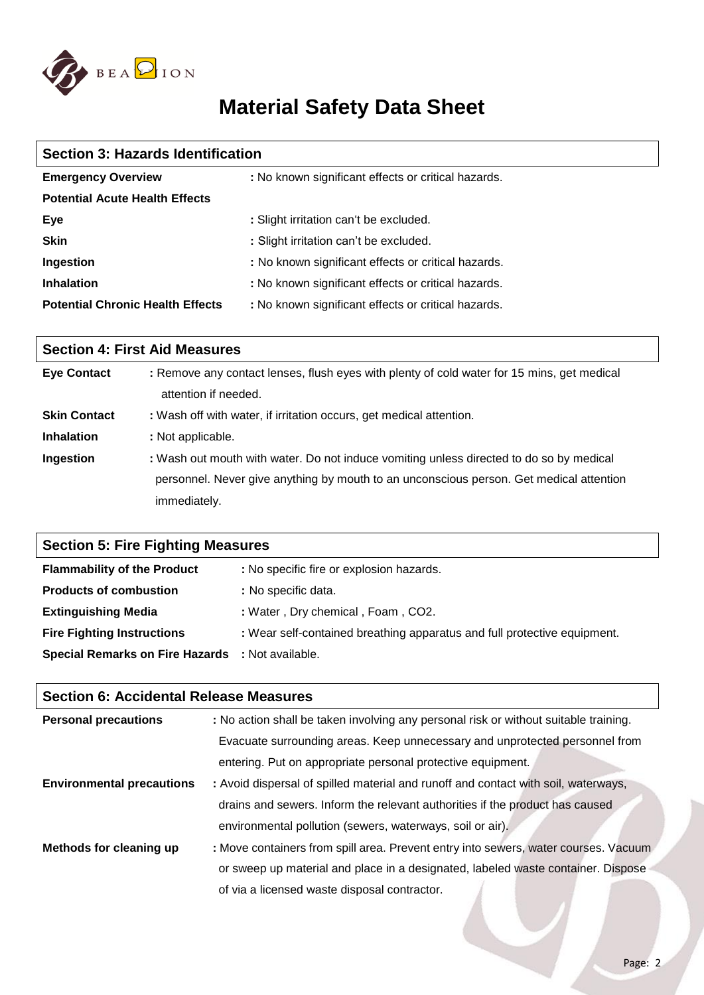

| <b>Section 3: Hazards Identification</b> |                                                     |  |  |
|------------------------------------------|-----------------------------------------------------|--|--|
| <b>Emergency Overview</b>                | : No known significant effects or critical hazards. |  |  |
| <b>Potential Acute Health Effects</b>    |                                                     |  |  |
| Eye                                      | : Slight irritation can't be excluded.              |  |  |
| <b>Skin</b>                              | : Slight irritation can't be excluded.              |  |  |
| Ingestion                                | : No known significant effects or critical hazards. |  |  |
| <b>Inhalation</b>                        | : No known significant effects or critical hazards. |  |  |
| <b>Potential Chronic Health Effects</b>  | : No known significant effects or critical hazards. |  |  |

| <b>Section 4: First Aid Measures</b> |                                                                                                                    |  |
|--------------------------------------|--------------------------------------------------------------------------------------------------------------------|--|
| <b>Eye Contact</b>                   | : Remove any contact lenses, flush eyes with plenty of cold water for 15 mins, get medical<br>attention if needed. |  |
| <b>Skin Contact</b>                  | : Wash off with water, if irritation occurs, get medical attention.                                                |  |
| <b>Inhalation</b>                    | : Not applicable.                                                                                                  |  |
| Ingestion                            | : Wash out mouth with water. Do not induce vomiting unless directed to do so by medical                            |  |
|                                      | personnel. Never give anything by mouth to an unconscious person. Get medical attention                            |  |
|                                      | immediately.                                                                                                       |  |

| <b>Section 5: Fire Fighting Measures</b>                |                                                                          |  |  |
|---------------------------------------------------------|--------------------------------------------------------------------------|--|--|
| <b>Flammability of the Product</b>                      | : No specific fire or explosion hazards.                                 |  |  |
| <b>Products of combustion</b>                           | : No specific data.                                                      |  |  |
| <b>Extinguishing Media</b>                              | : Water, Dry chemical, Foam, CO2.                                        |  |  |
| <b>Fire Fighting Instructions</b>                       | : Wear self-contained breathing apparatus and full protective equipment. |  |  |
| <b>Special Remarks on Fire Hazards : Not available.</b> |                                                                          |  |  |

| <b>Section 6: Accidental Release Measures</b> |                                                                                      |  |
|-----------------------------------------------|--------------------------------------------------------------------------------------|--|
| <b>Personal precautions</b>                   | : No action shall be taken involving any personal risk or without suitable training. |  |
|                                               | Evacuate surrounding areas. Keep unnecessary and unprotected personnel from          |  |
|                                               | entering. Put on appropriate personal protective equipment.                          |  |
| <b>Environmental precautions</b>              | : Avoid dispersal of spilled material and runoff and contact with soil, waterways,   |  |
|                                               | drains and sewers. Inform the relevant authorities if the product has caused         |  |
|                                               | environmental pollution (sewers, waterways, soil or air).                            |  |
| Methods for cleaning up                       | : Move containers from spill area. Prevent entry into sewers, water courses. Vacuum  |  |
|                                               | or sweep up material and place in a designated, labeled waste container. Dispose     |  |
|                                               | of via a licensed waste disposal contractor.                                         |  |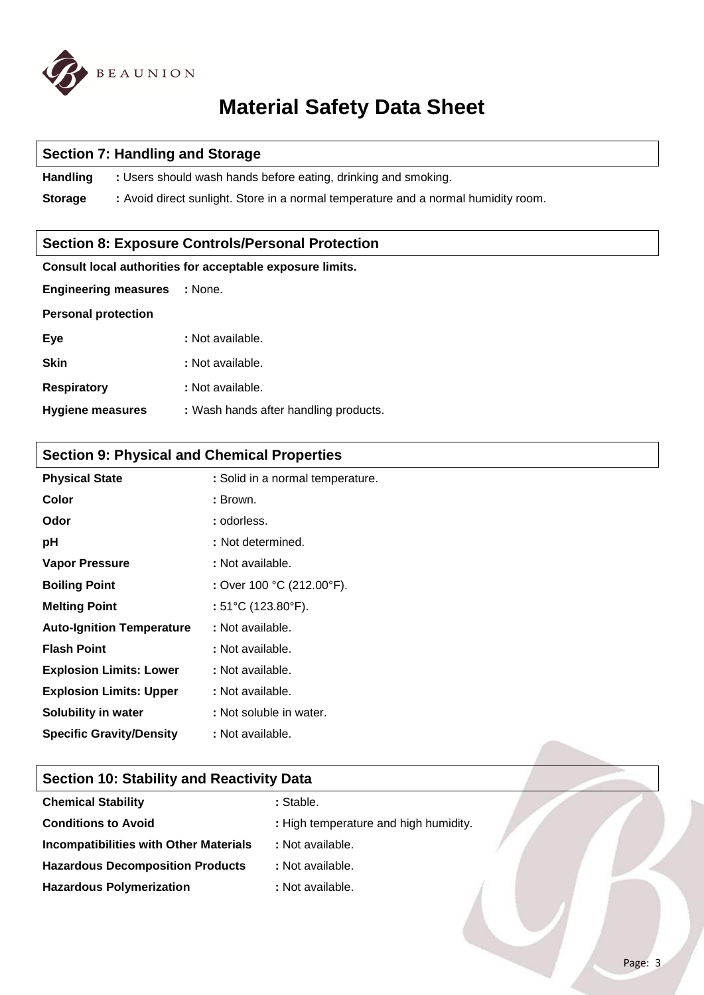

#### **Section 7: Handling and Storage**

**Handling** : Users should wash hands before eating, drinking and smoking.

**Storage :** Avoid direct sunlight. Store in a normal temperature and a normal humidity room.

#### **Section 8: Exposure Controls/Personal Protection**

#### **Consult local authorities for acceptable exposure limits.**

| <b>Engineering measures</b> | : None.                               |
|-----------------------------|---------------------------------------|
| <b>Personal protection</b>  |                                       |
| Eye                         | : Not available.                      |
| <b>Skin</b>                 | : Not available.                      |
| <b>Respiratory</b>          | : Not available.                      |
| <b>Hygiene measures</b>     | : Wash hands after handling products. |

## **Section 9: Physical and Chemical Properties**

| <b>Physical State</b>            | : Solid in a normal temperature.        |
|----------------------------------|-----------------------------------------|
| Color                            | : Brown.                                |
| Odor                             | : odorless.                             |
| рH                               | : Not determined.                       |
| <b>Vapor Pressure</b>            | : Not available.                        |
| <b>Boiling Point</b>             | : Over 100 °C (212.00°F).               |
| <b>Melting Point</b>             | : $51^{\circ}$ C (123.80 $^{\circ}$ F). |
| <b>Auto-Ignition Temperature</b> | : Not available.                        |
| <b>Flash Point</b>               | : Not available.                        |
| <b>Explosion Limits: Lower</b>   | : Not available.                        |
| <b>Explosion Limits: Upper</b>   | : Not available.                        |
| Solubility in water              | : Not soluble in water.                 |
| <b>Specific Gravity/Density</b>  | : Not available.                        |
|                                  |                                         |

### **Section 10: Stability and Reactivity Data**

| : Stable.                             |  |
|---------------------------------------|--|
| : High temperature and high humidity. |  |
| : Not available.                      |  |
| : Not available.                      |  |
| : Not available.                      |  |
|                                       |  |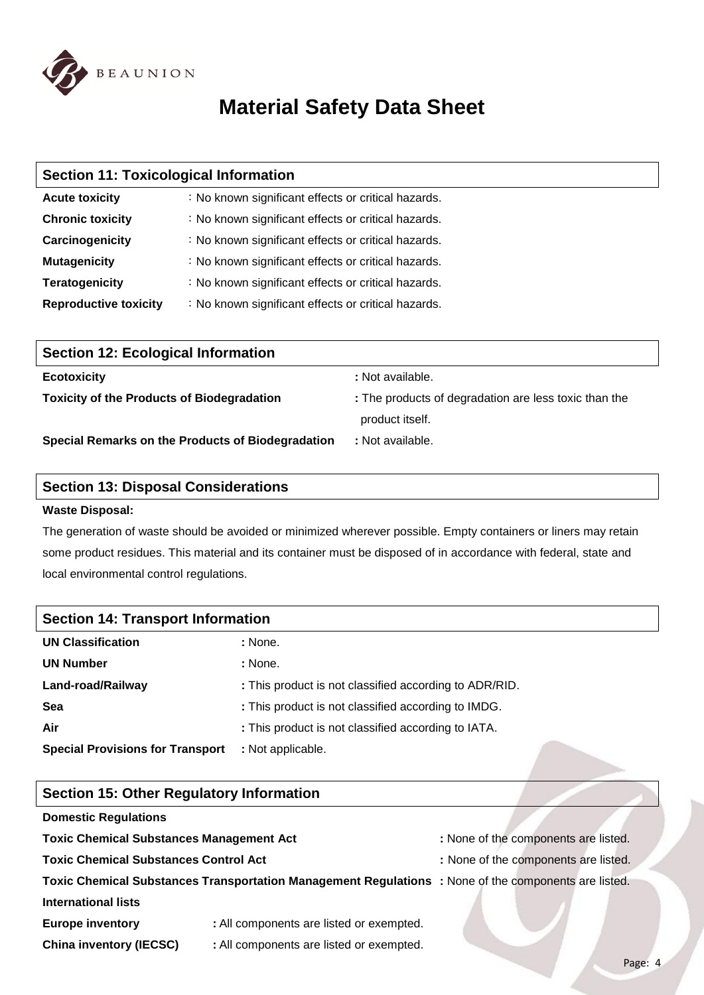

| <b>Section 11: Toxicological Information</b> |                                                     |  |  |
|----------------------------------------------|-----------------------------------------------------|--|--|
| <b>Acute toxicity</b>                        | : No known significant effects or critical hazards. |  |  |
| <b>Chronic toxicity</b>                      | : No known significant effects or critical hazards. |  |  |
| Carcinogenicity                              | : No known significant effects or critical hazards. |  |  |
| <b>Mutagenicity</b>                          | : No known significant effects or critical hazards. |  |  |
| <b>Teratogenicity</b>                        | : No known significant effects or critical hazards. |  |  |
| <b>Reproductive toxicity</b>                 | : No known significant effects or critical hazards. |  |  |
|                                              |                                                     |  |  |
| <b>Section 12: Ecological Information</b>    |                                                     |  |  |
|                                              |                                                     |  |  |

| <b>Ecotoxicity</b>                                | : Not available.                                      |
|---------------------------------------------------|-------------------------------------------------------|
| <b>Toxicity of the Products of Biodegradation</b> | : The products of degradation are less toxic than the |
|                                                   | product itself.                                       |
| Special Remarks on the Products of Biodegradation | : Not available.                                      |

#### **Section 13: Disposal Considerations**

#### **Waste Disposal:**

The generation of waste should be avoided or minimized wherever possible. Empty containers or liners may retain some product residues. This material and its container must be disposed of in accordance with federal, state and local environmental control regulations.

| <b>Section 14: Transport Information</b> |                                                        |  |  |
|------------------------------------------|--------------------------------------------------------|--|--|
| <b>UN Classification</b>                 | : None.                                                |  |  |
| <b>UN Number</b>                         | : None.                                                |  |  |
| Land-road/Railway                        | : This product is not classified according to ADR/RID. |  |  |
| Sea                                      | : This product is not classified according to IMDG.    |  |  |
| Air                                      | : This product is not classified according to IATA.    |  |  |
| <b>Special Provisions for Transport</b>  | : Not applicable.                                      |  |  |

#### **Section 15: Other Regulatory Information**

#### **Domestic Regulations**

**Toxic Chemical Substances Management Act : None of the components are listed.** 

- **Toxic Chemical Substances Control Act :** None of the components are listed.
- -

### **Toxic Chemical Substances Transportation Management Regulations :** None of the components are listed. **International lists**

- **Europe inventory :** All components are listed or exempted.
- **China inventory (IECSC) :** All components are listed or exempted.